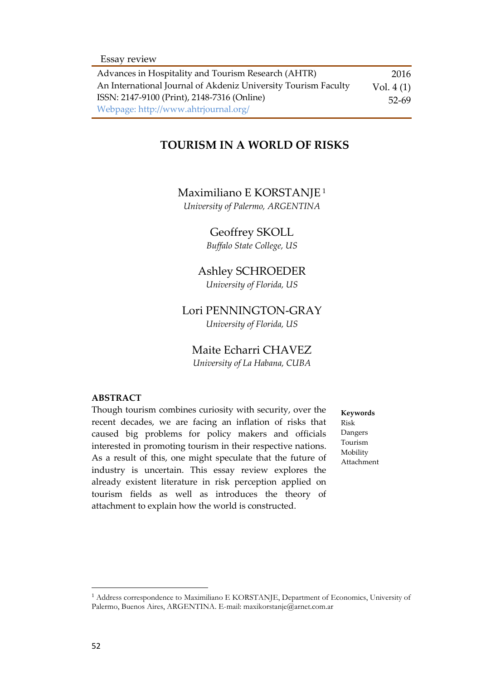| Advances in Hospitality and Tourism Research (AHTR)            | 2016        |
|----------------------------------------------------------------|-------------|
| An International Journal of Akdeniz University Tourism Faculty | Vol. $4(1)$ |
| ISSN: 2147-9100 (Print), 2148-7316 (Online)                    | $52-69$     |
| Webpage: http://www.ahtrjournal.org/                           |             |

### **TOURISM IN A WORLD OF RISKS**

#### Maximiliano E KORSTANJE<sup>1</sup>

*University of Palermo, ARGENTINA*

#### Geoffrey SKOLL

*Buffalo State College, US*

# Ashley SCHROEDER

*University of Florida, US*

#### Lori PENNINGTON-GRAY

*University of Florida, US*

#### Maite Echarri CHAVEZ

*University of La Habana, CUBA*

### **ABSTRACT**

Though tourism combines curiosity with security, over the recent decades, we are facing an inflation of risks that caused big problems for policy makers and officials interested in promoting tourism in their respective nations. As a result of this, one might speculate that the future of industry is uncertain. This essay review explores the already existent literature in risk perception applied on tourism fields as well as introduces the theory of attachment to explain how the world is constructed.

**Keywords** Risk Dangers Tourism Mobility Attachment

 $\overline{a}$ 

<sup>&</sup>lt;sup>1</sup> Address correspondence to Maximiliano E KORSTANJE, Department of Economics, University of Palermo, Buenos Aires, ARGENTINA. E-mail: maxikorstanje@arnet.com.ar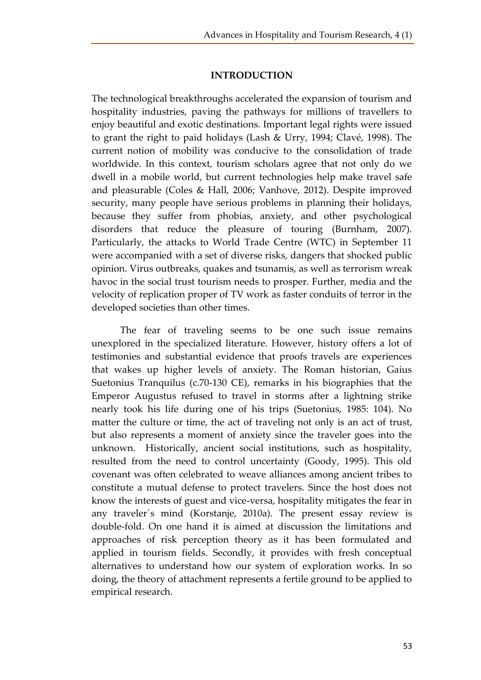#### **INTRODUCTION**

The technological breakthroughs accelerated the expansion of tourism and hospitality industries, paving the pathways for millions of travellers to enjoy beautiful and exotic destinations. Important legal rights were issued to grant the right to paid holidays (Lash & Urry, 1994; Clavé, 1998). The current notion of mobility was conducive to the consolidation of trade worldwide. In this context, tourism scholars agree that not only do we dwell in a mobile world, but current technologies help make travel safe and pleasurable (Coles & Hall, 2006; Vanhove, 2012). Despite improved security, many people have serious problems in planning their holidays, because they suffer from phobias, anxiety, and other psychological disorders that reduce the pleasure of touring (Burnham, 2007). Particularly, the attacks to World Trade Centre (WTC) in September 11 were accompanied with a set of diverse risks, dangers that shocked public opinion. Virus outbreaks, quakes and tsunamis, as well as terrorism wreak havoc in the social trust tourism needs to prosper. Further, media and the velocity of replication proper of TV work as faster conduits of terror in the developed societies than other times.

The fear of traveling seems to be one such issue remains unexplored in the specialized literature. However, history offers a lot of testimonies and substantial evidence that proofs travels are experiences that wakes up higher levels of anxiety. The Roman historian, Gaius Suetonius Tranquilus (c.70-130 CE), remarks in his biographies that the Emperor Augustus refused to travel in storms after a lightning strike nearly took his life during one of his trips (Suetonius, 1985: 104). No matter the culture or time, the act of traveling not only is an act of trust, but also represents a moment of anxiety since the traveler goes into the unknown. Historically, ancient social institutions, such as hospitality, resulted from the need to control uncertainty (Goody, 1995). This old covenant was often celebrated to weave alliances among ancient tribes to constitute a mutual defense to protect travelers. Since the host does not know the interests of guest and vice-versa, hospitality mitigates the fear in any traveler´s mind (Korstanje, 2010a). The present essay review is double-fold. On one hand it is aimed at discussion the limitations and approaches of risk perception theory as it has been formulated and applied in tourism fields. Secondly, it provides with fresh conceptual alternatives to understand how our system of exploration works. In so doing, the theory of attachment represents a fertile ground to be applied to empirical research.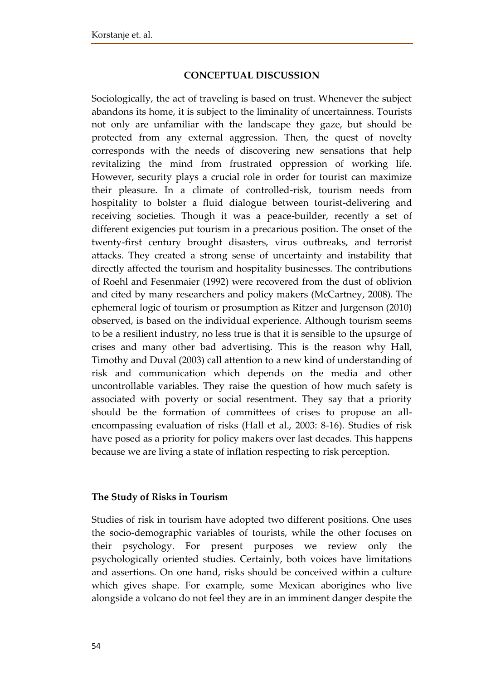## **CONCEPTUAL DISCUSSION**

Sociologically, the act of traveling is based on trust. Whenever the subject abandons its home, it is subject to the liminality of uncertainness. Tourists not only are unfamiliar with the landscape they gaze, but should be protected from any external aggression. Then, the quest of novelty corresponds with the needs of discovering new sensations that help revitalizing the mind from frustrated oppression of working life. However, security plays a crucial role in order for tourist can maximize their pleasure. In a climate of controlled-risk, tourism needs from hospitality to bolster a fluid dialogue between tourist-delivering and receiving societies. Though it was a peace-builder, recently a set of different exigencies put tourism in a precarious position. The onset of the twenty-first century brought disasters, virus outbreaks, and terrorist attacks. They created a strong sense of uncertainty and instability that directly affected the tourism and hospitality businesses. The contributions of Roehl and Fesenmaier (1992) were recovered from the dust of oblivion and cited by many researchers and policy makers (McCartney, 2008). The ephemeral logic of tourism or prosumption as Ritzer and Jurgenson (2010) observed, is based on the individual experience. Although tourism seems to be a resilient industry, no less true is that it is sensible to the upsurge of crises and many other bad advertising. This is the reason why Hall, Timothy and Duval (2003) call attention to a new kind of understanding of risk and communication which depends on the media and other uncontrollable variables. They raise the question of how much safety is associated with poverty or social resentment. They say that a priority should be the formation of committees of crises to propose an allencompassing evaluation of risks (Hall et al., 2003: 8-16). Studies of risk have posed as a priority for policy makers over last decades. This happens because we are living a state of inflation respecting to risk perception.

### **The Study of Risks in Tourism**

Studies of risk in tourism have adopted two different positions. One uses the socio-demographic variables of tourists, while the other focuses on their psychology. For present purposes we review only the psychologically oriented studies. Certainly, both voices have limitations and assertions. On one hand, risks should be conceived within a culture which gives shape. For example, some Mexican aborigines who live alongside a volcano do not feel they are in an imminent danger despite the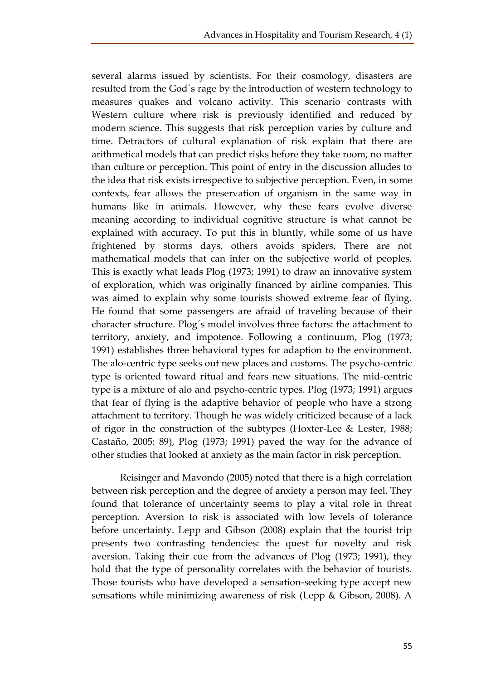several alarms issued by scientists. For their cosmology, disasters are resulted from the God´s rage by the introduction of western technology to measures quakes and volcano activity. This scenario contrasts with Western culture where risk is previously identified and reduced by modern science. This suggests that risk perception varies by culture and time. Detractors of cultural explanation of risk explain that there are arithmetical models that can predict risks before they take room, no matter than culture or perception. This point of entry in the discussion alludes to the idea that risk exists irrespective to subjective perception. Even, in some contexts, fear allows the preservation of organism in the same way in humans like in animals. However, why these fears evolve diverse meaning according to individual cognitive structure is what cannot be explained with accuracy. To put this in bluntly, while some of us have frightened by storms days, others avoids spiders. There are not mathematical models that can infer on the subjective world of peoples. This is exactly what leads Plog (1973; 1991) to draw an innovative system of exploration, which was originally financed by airline companies. This was aimed to explain why some tourists showed extreme fear of flying. He found that some passengers are afraid of traveling because of their character structure. Plog´s model involves three factors: the attachment to territory, anxiety, and impotence. Following a continuum, Plog (1973; 1991) establishes three behavioral types for adaption to the environment. The alo-centric type seeks out new places and customs. The psycho-centric type is oriented toward ritual and fears new situations. The mid-centric type is a mixture of alo and psycho-centric types. Plog (1973; 1991) argues that fear of flying is the adaptive behavior of people who have a strong attachment to territory. Though he was widely criticized because of a lack of rigor in the construction of the subtypes (Hoxter-Lee & Lester, 1988; Castaño, 2005: 89), Plog (1973; 1991) paved the way for the advance of other studies that looked at anxiety as the main factor in risk perception.

Reisinger and Mavondo (2005) noted that there is a high correlation between risk perception and the degree of anxiety a person may feel. They found that tolerance of uncertainty seems to play a vital role in threat perception. Aversion to risk is associated with low levels of tolerance before uncertainty. Lepp and Gibson (2008) explain that the tourist trip presents two contrasting tendencies: the quest for novelty and risk aversion. Taking their cue from the advances of Plog (1973; 1991), they hold that the type of personality correlates with the behavior of tourists. Those tourists who have developed a sensation-seeking type accept new sensations while minimizing awareness of risk (Lepp & Gibson, 2008). A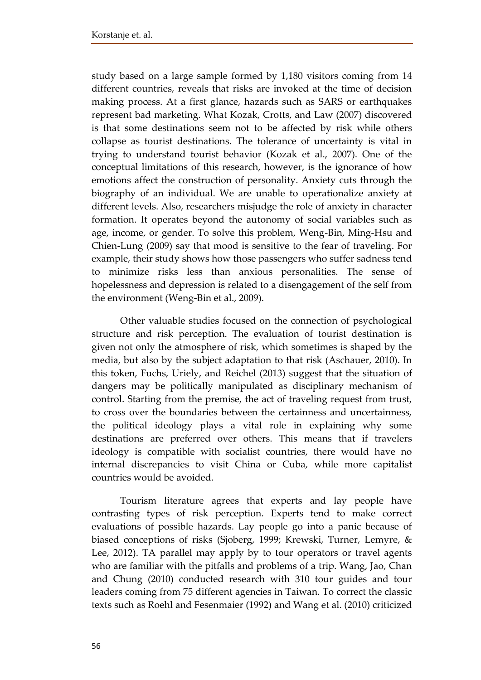study based on a large sample formed by 1,180 visitors coming from 14 different countries, reveals that risks are invoked at the time of decision making process. At a first glance, hazards such as SARS or earthquakes represent bad marketing. What Kozak, Crotts, and Law (2007) discovered is that some destinations seem not to be affected by risk while others collapse as tourist destinations. The tolerance of uncertainty is vital in trying to understand tourist behavior (Kozak et al., 2007). One of the conceptual limitations of this research, however, is the ignorance of how emotions affect the construction of personality. Anxiety cuts through the biography of an individual. We are unable to operationalize anxiety at different levels. Also, researchers misjudge the role of anxiety in character formation. It operates beyond the autonomy of social variables such as age, income, or gender. To solve this problem, Weng-Bin, Ming-Hsu and Chien-Lung (2009) say that mood is sensitive to the fear of traveling. For example, their study shows how those passengers who suffer sadness tend to minimize risks less than anxious personalities. The sense of hopelessness and depression is related to a disengagement of the self from the environment (Weng-Bin et al., 2009).

Other valuable studies focused on the connection of psychological structure and risk perception. The evaluation of tourist destination is given not only the atmosphere of risk, which sometimes is shaped by the media, but also by the subject adaptation to that risk (Aschauer, 2010). In this token, Fuchs, Uriely, and Reichel (2013) suggest that the situation of dangers may be politically manipulated as disciplinary mechanism of control. Starting from the premise, the act of traveling request from trust, to cross over the boundaries between the certainness and uncertainness, the political ideology plays a vital role in explaining why some destinations are preferred over others. This means that if travelers ideology is compatible with socialist countries, there would have no internal discrepancies to visit China or Cuba, while more capitalist countries would be avoided.

Tourism literature agrees that experts and lay people have contrasting types of risk perception. Experts tend to make correct evaluations of possible hazards. Lay people go into a panic because of biased conceptions of risks (Sjoberg, 1999; Krewski, Turner, Lemyre, & Lee, 2012). TA parallel may apply by to tour operators or travel agents who are familiar with the pitfalls and problems of a trip. Wang, Jao, Chan and Chung (2010) conducted research with 310 tour guides and tour leaders coming from 75 different agencies in Taiwan. To correct the classic texts such as Roehl and Fesenmaier (1992) and Wang et al. (2010) criticized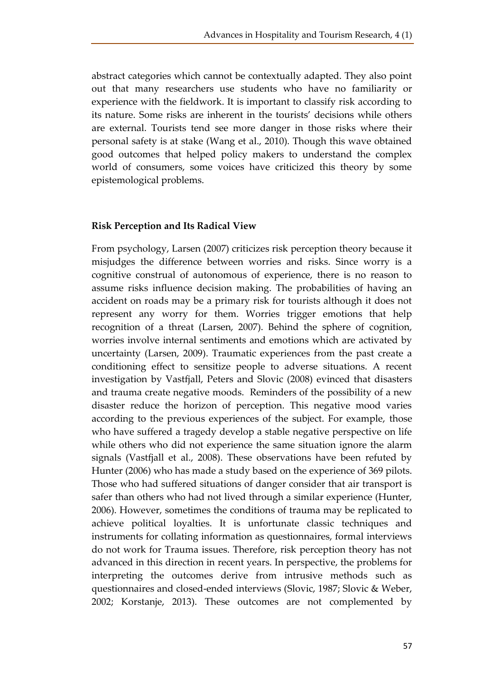abstract categories which cannot be contextually adapted. They also point out that many researchers use students who have no familiarity or experience with the fieldwork. It is important to classify risk according to its nature. Some risks are inherent in the tourists' decisions while others are external. Tourists tend see more danger in those risks where their personal safety is at stake (Wang et al., 2010). Though this wave obtained good outcomes that helped policy makers to understand the complex world of consumers, some voices have criticized this theory by some epistemological problems.

### **Risk Perception and Its Radical View**

From psychology, Larsen (2007) criticizes risk perception theory because it misjudges the difference between worries and risks. Since worry is a cognitive construal of autonomous of experience, there is no reason to assume risks influence decision making. The probabilities of having an accident on roads may be a primary risk for tourists although it does not represent any worry for them. Worries trigger emotions that help recognition of a threat (Larsen, 2007). Behind the sphere of cognition, worries involve internal sentiments and emotions which are activated by uncertainty (Larsen, 2009). Traumatic experiences from the past create a conditioning effect to sensitize people to adverse situations. A recent investigation by Vastfjall, Peters and Slovic (2008) evinced that disasters and trauma create negative moods. Reminders of the possibility of a new disaster reduce the horizon of perception. This negative mood varies according to the previous experiences of the subject. For example, those who have suffered a tragedy develop a stable negative perspective on life while others who did not experience the same situation ignore the alarm signals (Vastfjall et al., 2008). These observations have been refuted by Hunter (2006) who has made a study based on the experience of 369 pilots. Those who had suffered situations of danger consider that air transport is safer than others who had not lived through a similar experience (Hunter, 2006). However, sometimes the conditions of trauma may be replicated to achieve political loyalties. It is unfortunate classic techniques and instruments for collating information as questionnaires, formal interviews do not work for Trauma issues. Therefore, risk perception theory has not advanced in this direction in recent years. In perspective, the problems for interpreting the outcomes derive from intrusive methods such as questionnaires and closed-ended interviews (Slovic, 1987; Slovic & Weber, 2002; Korstanje, 2013). These outcomes are not complemented by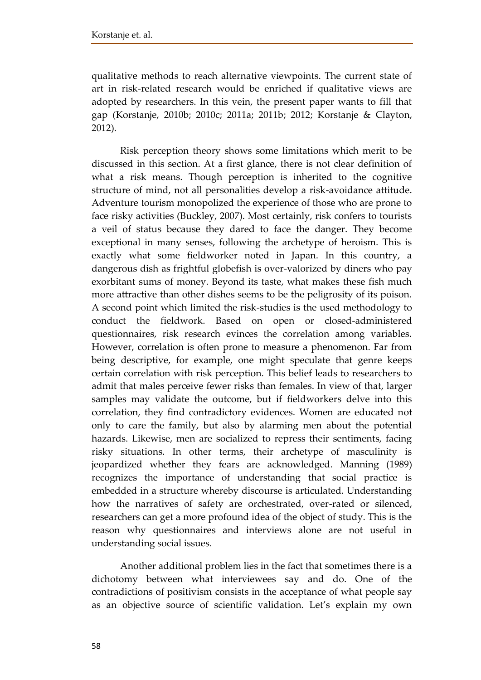qualitative methods to reach alternative viewpoints. The current state of art in risk-related research would be enriched if qualitative views are adopted by researchers. In this vein, the present paper wants to fill that gap (Korstanje, 2010b; 2010c; 2011a; 2011b; 2012; Korstanje & Clayton, 2012).

Risk perception theory shows some limitations which merit to be discussed in this section. At a first glance, there is not clear definition of what a risk means. Though perception is inherited to the cognitive structure of mind, not all personalities develop a risk-avoidance attitude. Adventure tourism monopolized the experience of those who are prone to face risky activities (Buckley, 2007). Most certainly, risk confers to tourists a veil of status because they dared to face the danger. They become exceptional in many senses, following the archetype of heroism. This is exactly what some fieldworker noted in Japan. In this country, a dangerous dish as frightful globefish is over-valorized by diners who pay exorbitant sums of money. Beyond its taste, what makes these fish much more attractive than other dishes seems to be the peligrosity of its poison. A second point which limited the risk-studies is the used methodology to conduct the fieldwork. Based on open or closed-administered questionnaires, risk research evinces the correlation among variables. However, correlation is often prone to measure a phenomenon. Far from being descriptive, for example, one might speculate that genre keeps certain correlation with risk perception. This belief leads to researchers to admit that males perceive fewer risks than females. In view of that, larger samples may validate the outcome, but if fieldworkers delve into this correlation, they find contradictory evidences. Women are educated not only to care the family, but also by alarming men about the potential hazards. Likewise, men are socialized to repress their sentiments, facing risky situations. In other terms, their archetype of masculinity is jeopardized whether they fears are acknowledged. Manning (1989) recognizes the importance of understanding that social practice is embedded in a structure whereby discourse is articulated. Understanding how the narratives of safety are orchestrated, over-rated or silenced, researchers can get a more profound idea of the object of study. This is the reason why questionnaires and interviews alone are not useful in understanding social issues.

Another additional problem lies in the fact that sometimes there is a dichotomy between what interviewees say and do. One of the contradictions of positivism consists in the acceptance of what people say as an objective source of scientific validation. Let's explain my own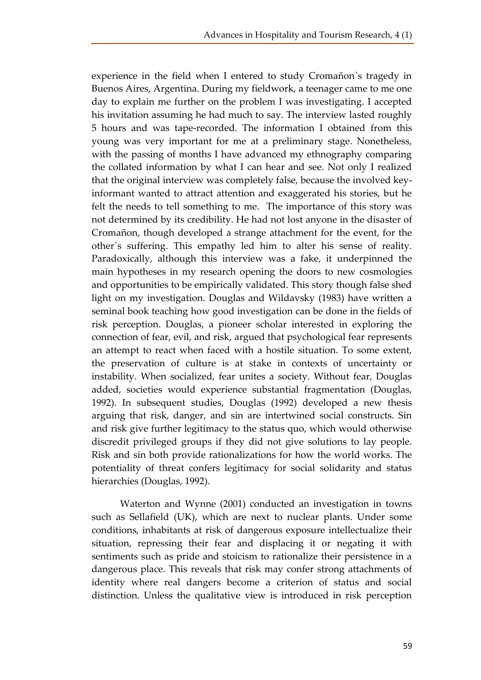experience in the field when I entered to study Cromañon`s tragedy in Buenos Aires, Argentina. During my fieldwork, a teenager came to me one day to explain me further on the problem I was investigating. I accepted his invitation assuming he had much to say. The interview lasted roughly 5 hours and was tape-recorded. The information I obtained from this young was very important for me at a preliminary stage. Nonetheless, with the passing of months I have advanced my ethnography comparing the collated information by what I can hear and see. Not only I realized that the original interview was completely false, because the involved keyinformant wanted to attract attention and exaggerated his stories, but he felt the needs to tell something to me. The importance of this story was not determined by its credibility. He had not lost anyone in the disaster of Cromañon, though developed a strange attachment for the event, for the other´s suffering. This empathy led him to alter his sense of reality. Paradoxically, although this interview was a fake, it underpinned the main hypotheses in my research opening the doors to new cosmologies and opportunities to be empirically validated. This story though false shed light on my investigation. Douglas and Wildavsky (1983) have written a seminal book teaching how good investigation can be done in the fields of risk perception. Douglas, a pioneer scholar interested in exploring the connection of fear, evil, and risk, argued that psychological fear represents an attempt to react when faced with a hostile situation. To some extent, the preservation of culture is at stake in contexts of uncertainty or instability. When socialized, fear unites a society. Without fear, Douglas added, societies would experience substantial fragmentation (Douglas, 1992). In subsequent studies, Douglas (1992) developed a new thesis arguing that risk, danger, and sin are intertwined social constructs. Sin and risk give further legitimacy to the status quo, which would otherwise discredit privileged groups if they did not give solutions to lay people. Risk and sin both provide rationalizations for how the world works. The potentiality of threat confers legitimacy for social solidarity and status hierarchies (Douglas, 1992).

Waterton and Wynne (2001) conducted an investigation in towns such as Sellafield (UK), which are next to nuclear plants. Under some conditions, inhabitants at risk of dangerous exposure intellectualize their situation, repressing their fear and displacing it or negating it with sentiments such as pride and stoicism to rationalize their persistence in a dangerous place. This reveals that risk may confer strong attachments of identity where real dangers become a criterion of status and social distinction. Unless the qualitative view is introduced in risk perception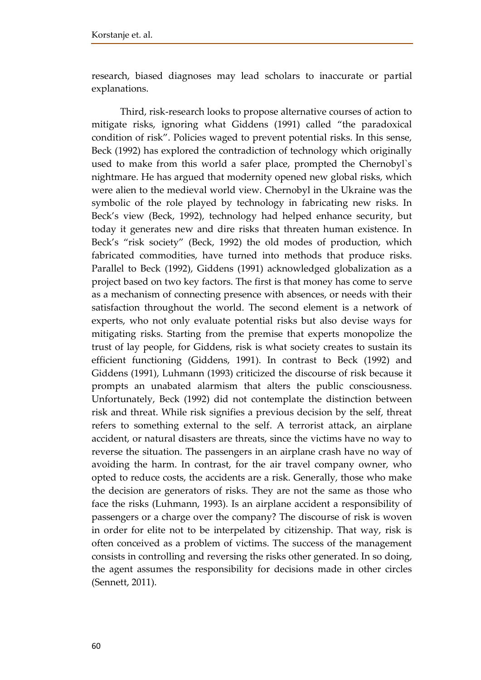research, biased diagnoses may lead scholars to inaccurate or partial explanations.

Third, risk-research looks to propose alternative courses of action to mitigate risks, ignoring what Giddens (1991) called "the paradoxical condition of risk". Policies waged to prevent potential risks. In this sense, Beck (1992) has explored the contradiction of technology which originally used to make from this world a safer place, prompted the Chernobyl`s nightmare. He has argued that modernity opened new global risks, which were alien to the medieval world view. Chernobyl in the Ukraine was the symbolic of the role played by technology in fabricating new risks. In Beck's view (Beck, 1992), technology had helped enhance security, but today it generates new and dire risks that threaten human existence. In Beck's "risk society" (Beck, 1992) the old modes of production, which fabricated commodities, have turned into methods that produce risks. Parallel to Beck (1992), Giddens (1991) acknowledged globalization as a project based on two key factors. The first is that money has come to serve as a mechanism of connecting presence with absences, or needs with their satisfaction throughout the world. The second element is a network of experts, who not only evaluate potential risks but also devise ways for mitigating risks. Starting from the premise that experts monopolize the trust of lay people, for Giddens, risk is what society creates to sustain its efficient functioning (Giddens, 1991). In contrast to Beck (1992) and Giddens (1991), Luhmann (1993) criticized the discourse of risk because it prompts an unabated alarmism that alters the public consciousness. Unfortunately, Beck (1992) did not contemplate the distinction between risk and threat. While risk signifies a previous decision by the self, threat refers to something external to the self. A terrorist attack, an airplane accident, or natural disasters are threats, since the victims have no way to reverse the situation. The passengers in an airplane crash have no way of avoiding the harm. In contrast, for the air travel company owner, who opted to reduce costs, the accidents are a risk. Generally, those who make the decision are generators of risks. They are not the same as those who face the risks (Luhmann, 1993). Is an airplane accident a responsibility of passengers or a charge over the company? The discourse of risk is woven in order for elite not to be interpelated by citizenship. That way, risk is often conceived as a problem of victims. The success of the management consists in controlling and reversing the risks other generated. In so doing, the agent assumes the responsibility for decisions made in other circles (Sennett, 2011).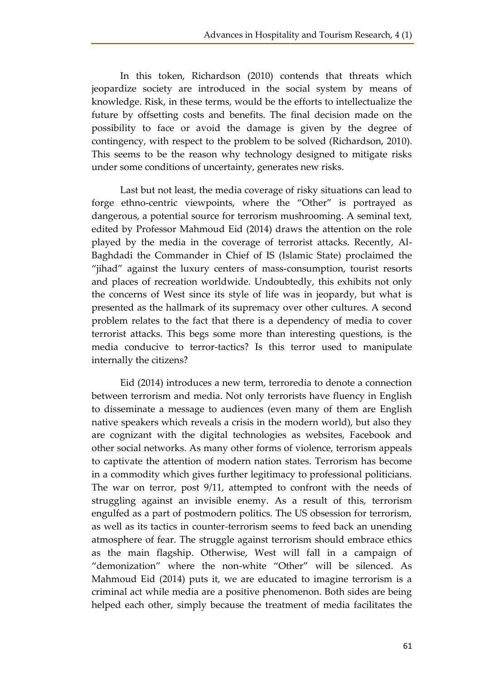In this token, Richardson (2010) contends that threats which jeopardize society are introduced in the social system by means of knowledge. Risk, in these terms, would be the efforts to intellectualize the future by offsetting costs and benefits. The final decision made on the possibility to face or avoid the damage is given by the degree of contingency, with respect to the problem to be solved (Richardson, 2010). This seems to be the reason why technology designed to mitigate risks under some conditions of uncertainty, generates new risks.

Last but not least, the media coverage of risky situations can lead to forge ethno-centric viewpoints, where the "Other" is portrayed as dangerous, a potential source for terrorism mushrooming. A seminal text, edited by Professor Mahmoud Eid (2014) draws the attention on the role played by the media in the coverage of terrorist attacks. Recently, Al-Baghdadi the Commander in Chief of IS (Islamic State) proclaimed the "jihad" against the luxury centers of mass-consumption, tourist resorts and places of recreation worldwide. Undoubtedly, this exhibits not only the concerns of West since its style of life was in jeopardy, but what is presented as the hallmark of its supremacy over other cultures. A second problem relates to the fact that there is a dependency of media to cover terrorist attacks. This begs some more than interesting questions, is the media conducive to terror-tactics? Is this terror used to manipulate internally the citizens?

Eid (2014) introduces a new term, terroredia to denote a connection between terrorism and media. Not only terrorists have fluency in English to disseminate a message to audiences (even many of them are English native speakers which reveals a crisis in the modern world), but also they are cognizant with the digital technologies as websites, Facebook and other social networks. As many other forms of violence, terrorism appeals to captivate the attention of modern nation states. Terrorism has become in a commodity which gives further legitimacy to professional politicians. The war on terror, post 9/11, attempted to confront with the needs of struggling against an invisible enemy. As a result of this, terrorism engulfed as a part of postmodern politics. The US obsession for terrorism, as well as its tactics in counter-terrorism seems to feed back an unending atmosphere of fear. The struggle against terrorism should embrace ethics as the main flagship. Otherwise, West will fall in a campaign of "demonization" where the non-white "Other" will be silenced. As Mahmoud Eid (2014) puts it, we are educated to imagine terrorism is a criminal act while media are a positive phenomenon. Both sides are being helped each other, simply because the treatment of media facilitates the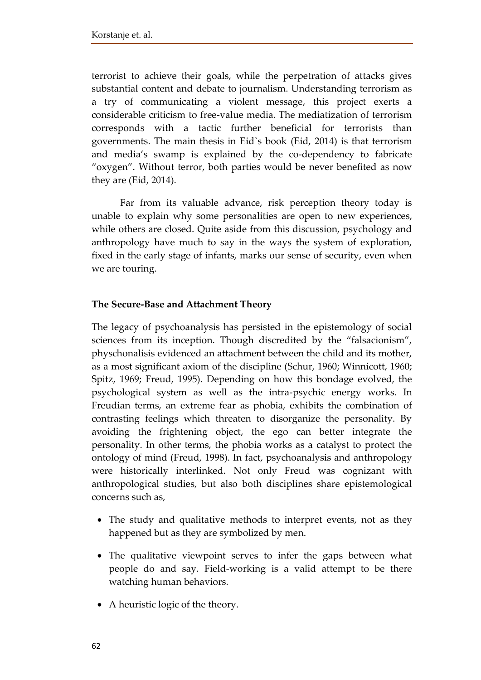terrorist to achieve their goals, while the perpetration of attacks gives substantial content and debate to journalism. Understanding terrorism as a try of communicating a violent message, this project exerts a considerable criticism to free-value media. The mediatization of terrorism corresponds with a tactic further beneficial for terrorists than governments. The main thesis in Eid`s book (Eid, 2014) is that terrorism and media's swamp is explained by the co-dependency to fabricate "oxygen". Without terror, both parties would be never benefited as now they are (Eid, 2014).

Far from its valuable advance, risk perception theory today is unable to explain why some personalities are open to new experiences, while others are closed. Quite aside from this discussion, psychology and anthropology have much to say in the ways the system of exploration, fixed in the early stage of infants, marks our sense of security, even when we are touring.

### **The Secure-Base and Attachment Theory**

The legacy of psychoanalysis has persisted in the epistemology of social sciences from its inception. Though discredited by the "falsacionism", physchonalisis evidenced an attachment between the child and its mother, as a most significant axiom of the discipline (Schur, 1960; Winnicott, 1960; Spitz, 1969; Freud, 1995). Depending on how this bondage evolved, the psychological system as well as the intra-psychic energy works. In Freudian terms, an extreme fear as phobia, exhibits the combination of contrasting feelings which threaten to disorganize the personality. By avoiding the frightening object, the ego can better integrate the personality. In other terms, the phobia works as a catalyst to protect the ontology of mind (Freud, 1998). In fact, psychoanalysis and anthropology were historically interlinked. Not only Freud was cognizant with anthropological studies, but also both disciplines share epistemological concerns such as,

- The study and qualitative methods to interpret events, not as they happened but as they are symbolized by men.
- The qualitative viewpoint serves to infer the gaps between what people do and say. Field-working is a valid attempt to be there watching human behaviors.
- A heuristic logic of the theory.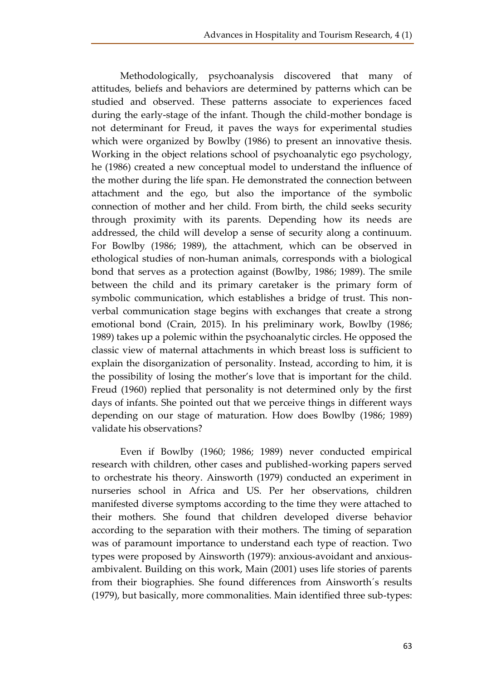Methodologically, psychoanalysis discovered that many of attitudes, beliefs and behaviors are determined by patterns which can be studied and observed. These patterns associate to experiences faced during the early-stage of the infant. Though the child-mother bondage is not determinant for Freud, it paves the ways for experimental studies which were organized by Bowlby (1986) to present an innovative thesis. Working in the object relations school of psychoanalytic ego psychology, he (1986) created a new conceptual model to understand the influence of the mother during the life span. He demonstrated the connection between attachment and the ego, but also the importance of the symbolic connection of mother and her child. From birth, the child seeks security through proximity with its parents. Depending how its needs are addressed, the child will develop a sense of security along a continuum. For Bowlby (1986; 1989), the attachment, which can be observed in ethological studies of non-human animals, corresponds with a biological bond that serves as a protection against (Bowlby, 1986; 1989). The smile between the child and its primary caretaker is the primary form of symbolic communication, which establishes a bridge of trust. This nonverbal communication stage begins with exchanges that create a strong emotional bond (Crain, 2015). In his preliminary work, Bowlby (1986; 1989) takes up a polemic within the psychoanalytic circles. He opposed the classic view of maternal attachments in which breast loss is sufficient to explain the disorganization of personality. Instead, according to him, it is the possibility of losing the mother's love that is important for the child. Freud (1960) replied that personality is not determined only by the first days of infants. She pointed out that we perceive things in different ways depending on our stage of maturation. How does Bowlby (1986; 1989) validate his observations?

Even if Bowlby (1960; 1986; 1989) never conducted empirical research with children, other cases and published-working papers served to orchestrate his theory. Ainsworth (1979) conducted an experiment in nurseries school in Africa and US. Per her observations, children manifested diverse symptoms according to the time they were attached to their mothers. She found that children developed diverse behavior according to the separation with their mothers. The timing of separation was of paramount importance to understand each type of reaction. Two types were proposed by Ainsworth (1979): anxious-avoidant and anxiousambivalent. Building on this work, Main (2001) uses life stories of parents from their biographies. She found differences from Ainsworth´s results (1979), but basically, more commonalities. Main identified three sub-types: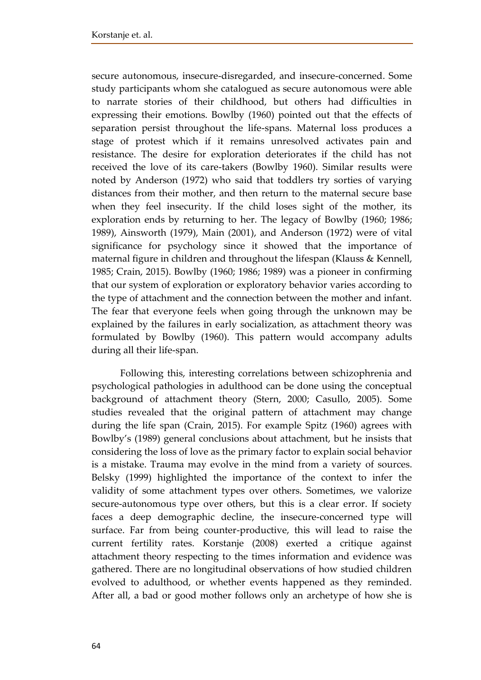secure autonomous, insecure-disregarded, and insecure-concerned. Some study participants whom she catalogued as secure autonomous were able to narrate stories of their childhood, but others had difficulties in expressing their emotions. Bowlby (1960) pointed out that the effects of separation persist throughout the life-spans. Maternal loss produces a stage of protest which if it remains unresolved activates pain and resistance. The desire for exploration deteriorates if the child has not received the love of its care-takers (Bowlby 1960). Similar results were noted by Anderson (1972) who said that toddlers try sorties of varying distances from their mother, and then return to the maternal secure base when they feel insecurity. If the child loses sight of the mother, its exploration ends by returning to her. The legacy of Bowlby (1960; 1986; 1989), Ainsworth (1979), Main (2001), and Anderson (1972) were of vital significance for psychology since it showed that the importance of maternal figure in children and throughout the lifespan (Klauss & Kennell, 1985; Crain, 2015). Bowlby (1960; 1986; 1989) was a pioneer in confirming that our system of exploration or exploratory behavior varies according to the type of attachment and the connection between the mother and infant. The fear that everyone feels when going through the unknown may be explained by the failures in early socialization, as attachment theory was formulated by Bowlby (1960). This pattern would accompany adults during all their life-span.

Following this, interesting correlations between schizophrenia and psychological pathologies in adulthood can be done using the conceptual background of attachment theory (Stern, 2000; Casullo, 2005). Some studies revealed that the original pattern of attachment may change during the life span (Crain, 2015). For example Spitz (1960) agrees with Bowlby's (1989) general conclusions about attachment, but he insists that considering the loss of love as the primary factor to explain social behavior is a mistake. Trauma may evolve in the mind from a variety of sources. Belsky (1999) highlighted the importance of the context to infer the validity of some attachment types over others. Sometimes, we valorize secure-autonomous type over others, but this is a clear error. If society faces a deep demographic decline, the insecure-concerned type will surface. Far from being counter-productive, this will lead to raise the current fertility rates. Korstanje (2008) exerted a critique against attachment theory respecting to the times information and evidence was gathered. There are no longitudinal observations of how studied children evolved to adulthood, or whether events happened as they reminded. After all, a bad or good mother follows only an archetype of how she is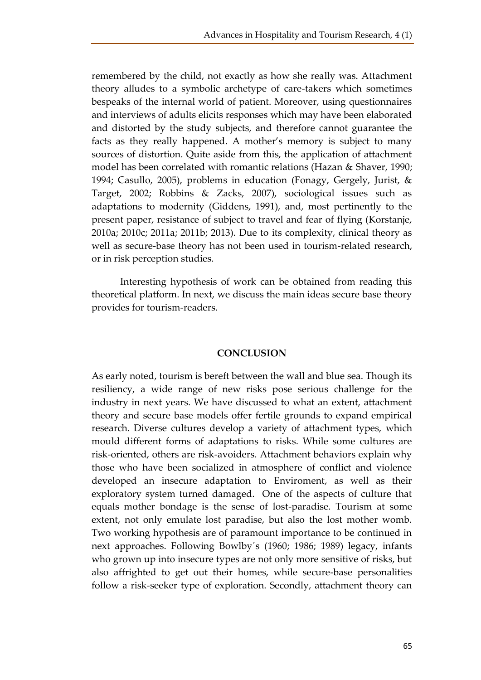remembered by the child, not exactly as how she really was. Attachment theory alludes to a symbolic archetype of care-takers which sometimes bespeaks of the internal world of patient. Moreover, using questionnaires and interviews of adults elicits responses which may have been elaborated and distorted by the study subjects, and therefore cannot guarantee the facts as they really happened. A mother's memory is subject to many sources of distortion. Quite aside from this, the application of attachment model has been correlated with romantic relations (Hazan & Shaver, 1990; 1994; Casullo, 2005), problems in education (Fonagy, Gergely, Jurist, & Target, 2002; Robbins & Zacks, 2007), sociological issues such as adaptations to modernity (Giddens, 1991), and, most pertinently to the present paper, resistance of subject to travel and fear of flying (Korstanje, 2010a; 2010c; 2011a; 2011b; 2013). Due to its complexity, clinical theory as well as secure-base theory has not been used in tourism-related research, or in risk perception studies.

Interesting hypothesis of work can be obtained from reading this theoretical platform. In next, we discuss the main ideas secure base theory provides for tourism-readers.

#### **CONCLUSION**

As early noted, tourism is bereft between the wall and blue sea. Though its resiliency, a wide range of new risks pose serious challenge for the industry in next years. We have discussed to what an extent, attachment theory and secure base models offer fertile grounds to expand empirical research. Diverse cultures develop a variety of attachment types, which mould different forms of adaptations to risks. While some cultures are risk-oriented, others are risk-avoiders. Attachment behaviors explain why those who have been socialized in atmosphere of conflict and violence developed an insecure adaptation to Enviroment, as well as their exploratory system turned damaged. One of the aspects of culture that equals mother bondage is the sense of lost-paradise. Tourism at some extent, not only emulate lost paradise, but also the lost mother womb. Two working hypothesis are of paramount importance to be continued in next approaches. Following Bowlby´s (1960; 1986; 1989) legacy, infants who grown up into insecure types are not only more sensitive of risks, but also affrighted to get out their homes, while secure-base personalities follow a risk-seeker type of exploration. Secondly, attachment theory can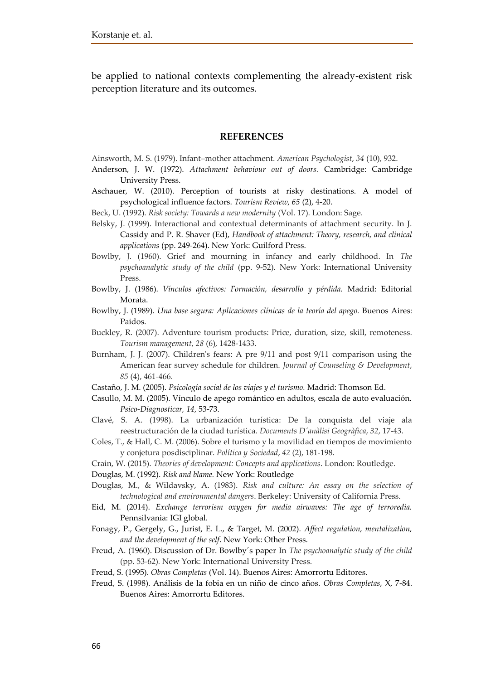be applied to national contexts complementing the already-existent risk perception literature and its outcomes.

#### **REFERENCES**

Ainsworth, M. S. (1979). Infant–mother attachment. *American Psychologist*, *34* (10), 932.

- Anderson, J. W. (1972). *Attachment behaviour out of doors.* Cambridge: Cambridge University Press.
- Aschauer, W. (2010). Perception of tourists at risky destinations. A model of psychological influence factors. *Tourism Review, 65* (2), 4-20.
- Beck, U. (1992). *Risk society: Towards a new modernity* (Vol. 17). London: Sage.
- Belsky, J. (1999). Interactional and contextual determinants of attachment security. In J. Cassidy and P. R. Shaver (Ed), *Handbook of attachment: Theory, research, and clinical applications* (pp. 249-264). New York: Guilford Press.
- Bowlby, J. (1960). Grief and mourning in infancy and early childhood. In *The psychoanalytic study of the child* (pp. 9-52)*.* New York: International University Press.
- Bowlby, J. (1986). *Vínculos afectivos: Formación, desarrollo y pérdida.* Madrid: Editorial Morata.
- Bowlby, J. (1989). *Una base segura: Aplicaciones clínicas de la teoría del apego.* Buenos Aires: Paidos.
- Buckley, R. (2007). Adventure tourism products: Price, duration, size, skill, remoteness. *Tourism management*, *28* (6), 1428-1433.
- Burnham, J. J. (2007). Children's fears: A pre 9/11 and post 9/11 comparison using the American fear survey schedule for children. *Journal of Counseling & Development*, *85* (4), 461-466.
- Castaño, J. M. (2005). *Psicología social de los viajes y el turismo.* Madrid: Thomson Ed.
- Casullo, M. M. (2005). Vínculo de apego romántico en adultos, escala de auto evaluación. *Psico-Diagnosticar, 14*, 53-73.
- Clavé, S. A. (1998). La urbanización turística: De la conquista del viaje ala reestructuración de la ciudad turística. *Documents D'anàlisi Geogràfica*, *32*, 17-43.
- Coles, T., & Hall, C. M. (2006). Sobre el turismo y la movilidad en tiempos de movimiento y conjetura posdisciplinar. *Política y Sociedad*, *42* (2), 181-198.
- Crain, W. (2015). *Theories of development: Concepts and applications*. London: Routledge.
- Douglas, M. (1992). *Risk and blame.* New York: Routledge
- Douglas, M., & Wildavsky, A. (1983). *Risk and culture: An essay on the selection of technological and environmental dangers*. Berkeley: University of California Press.
- Eid, M. (2014). *Exchange terrorism oxygen for media airwaves: The age of terroredia.*  Pennsilvania: IGI global.
- Fonagy, P., Gergely, G., Jurist, E. L., & Target, M. (2002). *Affect regulation, mentalization, and the development of the self*. New York: Other Press.
- Freud, A. (1960). Discussion of Dr. Bowlby´s paper In *The psychoanalytic study of the child* (pp. 53-62)*.* New York: International University Press.
- Freud, S. (1995). *Obras Completas* (Vol. 14). Buenos Aires: Amorrortu Editores.
- Freud, S. (1998). Análisis de la fobia en un niño de cinco años. *Obras Completas*, X, 7-84. Buenos Aires: Amorrortu Editores.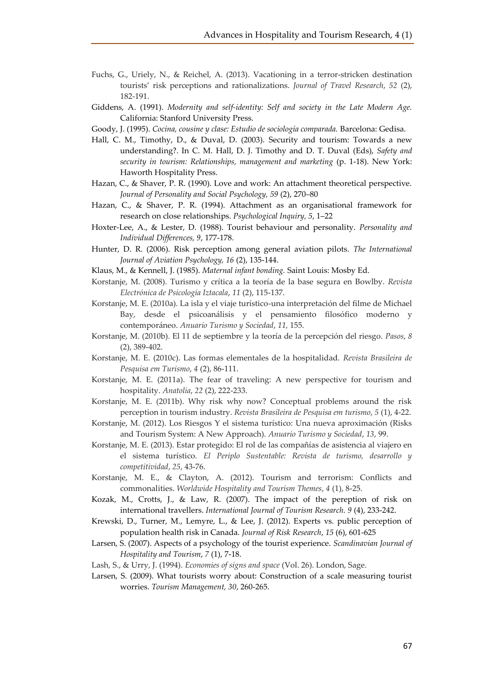- Fuchs, G., Uriely, N., & Reichel, A. (2013). Vacationing in a terror-stricken destination tourists' risk perceptions and rationalizations. *Journal of Travel Research*, *52* (2), 182-191.
- Giddens, A. (1991). *Modernity and self-identity: Self and society in the Late Modern Age.*  California: Stanford University Press.
- Goody, J. (1995). *Cocina, cousine y clase: Estudio de sociología comparada.* Barcelona: Gedisa.
- Hall, C. M., Timothy, D., & Duval, D. (2003). Security and tourism: Towards a new understanding?. In C. M. Hall, D. J. Timothy and D. T. Duval (Eds), *Safety and security in tourism: Relationships, management and marketing* (p. 1-18). New York: Haworth Hospitality Press.
- Hazan, C., & Shaver, P. R. (1990). Love and work: An attachment theoretical perspective. *Journal of Personality and Social Psychology, 59* (2), 270–80
- Hazan, C., & Shaver, P. R. (1994). Attachment as an organisational framework for research on close relationships. *Psychological Inquiry, 5*, 1–22
- Hoxter-Lee, A., & Lester, D. (1988). Tourist behaviour and personality. *Personality and Individual Differences, 9*, 177-178.
- Hunter, D. R. (2006). Risk perception among general aviation pilots. *The International Journal of Aviation Psychology, 16* (2), 135-144.
- Klaus, M., & Kennell, J. (1985). *Maternal infant bonding.* Saint Louis: Mosby Ed.
- Korstanje, M. (2008). Turismo y crítica a la teoría de la base segura en Bowlby. *Revista Electrónica de Psicología Iztacala*, *11* (2), 115-137.
- Korstanje, M. E. (2010a). La isla y el viaje turístico-una interpretación del filme de Michael Bay, desde el psicoanálisis y el pensamiento filosófico moderno y contemporáneo. *Anuario Turismo y Sociedad*, *11,* 155.
- Korstanje, M. (2010b). El 11 de septiembre y la teoría de la percepción del riesgo. *Pasos*, *8* (2), 389-402.
- Korstanje, M. E. (2010c). Las formas elementales de la hospitalidad. *Revista Brasileira de Pesquisa em Turismo*, *4* (2), 86-111.
- Korstanje, M. E. (2011a). The fear of traveling: A new perspective for tourism and hospitality. *Anatolia*, *22* (2), 222-233.
- Korstanje, M. E. (2011b). Why risk why now? Conceptual problems around the risk perception in tourism industry. *Revista Brasileira de Pesquisa em turismo*, *5* (1), 4-22.
- Korstanje, M. (2012). Los Riesgos Y el sistema turístico: Una nueva aproximación (Risks and Tourism System: A New Approach). *Anuario Turismo y Sociedad*, *13*, 99.
- Korstanje, M. E. (2013). Estar protegido: El rol de las compañías de asistencia al viajero en el sistema turístico. *El Periplo Sustentable: Revista de turismo, desarrollo y competitividad*, *25*, 43-76.
- Korstanje, M. E., & Clayton, A. (2012). Tourism and terrorism: Conflicts and commonalities. *Worldwide Hospitality and Tourism Themes*, *4* (1), 8-25.
- Kozak, M., Crotts, J., & Law, R. (2007). The impact of the pereption of risk on international travellers. *International Journal of Tourism Research. 9* (4), 233-242.
- Krewski, D., Turner, M., Lemyre, L., & Lee, J. (2012). Experts vs. public perception of population health risk in Canada. *Journal of Risk Research*, *15* (6), 601-625
- Larsen, S. (2007). Aspects of a psychology of the tourist experience. *Scandinavian Journal of Hospitality and Tourism*, *7* (1), 7-18.
- Lash, S., & Urry, J. (1994). *Economies of signs and space* (Vol. 26). London, Sage.
- Larsen, S. (2009). What tourists worry about: Construction of a scale measuring tourist worries. *Tourism Management, 30*, 260-265.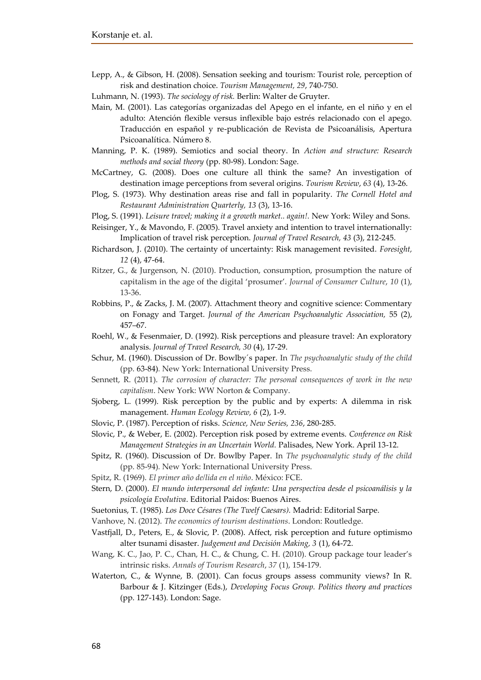- Lepp, A., & Gibson, H. (2008). Sensation seeking and tourism: Tourist role, perception of risk and destination choice. *Tourism Management, 29*, 740-750.
- Luhmann, N. (1993). *The sociology of risk.* Berlin: Walter de Gruyter.
- Main, M. (2001). Las categorías organizadas del Apego en el infante, en el niño y en el adulto: Atención flexible versus inflexible bajo estrés relacionado con el apego. Traducción en español y re-publicación de Revista de Psicoanálisis, Apertura Psicoanalítica. Número 8.
- Manning, P. K. (1989). Semiotics and social theory. In *Action and structure: Research methods and social theory* (pp. 80-98). London: Sage.
- McCartney, G. (2008). Does one culture all think the same? An investigation of destination image perceptions from several origins. *Tourism Review*, *63* (4), 13-26.
- Plog, S. (1973). Why destination areas rise and fall in popularity. *The Cornell Hotel and Restaurant Administration Quarterly, 13* (3), 13-16.
- Plog, S. (1991). *Leisure travel; making it a growth market.. again!.* New York: Wiley and Sons.
- Reisinger, Y., & Mavondo, F. (2005). Travel anxiety and intention to travel internationally: Implication of travel risk perception. *Journal of Travel Research, 43* (3), 212-245.
- Richardson, J. (2010). The certainty of uncertainty: Risk management revisited. *Foresight, 12* (4), 47-64.
- Ritzer, G., & Jurgenson, N. (2010). Production, consumption, prosumption the nature of capitalism in the age of the digital 'prosumer'. *Journal of Consumer Culture*, *10* (1), 13-36.
- Robbins, P., & Zacks, J. M. (2007). Attachment theory and cognitive science: Commentary on Fonagy and Target. *Journal of the American Psychoanalytic Association,* 55 (2), 457–67.
- Roehl, W., & Fesenmaier, D. (1992). Risk perceptions and pleasure travel: An exploratory analysis. *Journal of Travel Research, 30* (4), 17-29.
- Schur, M. (1960). Discussion of Dr. Bowlby´s paper. In *The psychoanalytic study of the child* (pp. 63-84)*.* New York: International University Press.
- Sennett, R. (2011). *The corrosion of character: The personal consequences of work in the new capitalism*. New York: WW Norton & Company.
- Sjoberg, L. (1999). Risk perception by the public and by experts: A dilemma in risk management. *Human Ecology Review, 6* (2), 1-9.
- Slovic, P. (1987). Perception of risks. *Science, New Series, 236*, 280-285.
- Slovic, P., & Weber, E. (2002). Perception risk posed by extreme events. *Conference on Risk Management Strategies in an Uncertain World.* Palisades, New York. April 13-12.
- Spitz, R. (1960). Discussion of Dr. Bowlby Paper. In *The psychoanalytic study of the child* (pp. 85-94)*.* New York: International University Press.
- Spitz, R. (1969). *El primer año de/lida en el niño*. México: FCE.
- Stern, D. (2000). *El mundo interpersonal del infante: Una perspectiva desde el psicoanálisis y la psicología Evolutiva*. Editorial Paidos: Buenos Aires.
- Suetonius, T. (1985). *Los Doce Césares (The Twelf Caesars).* Madrid: Editorial Sarpe.
- Vanhove, N. (2012). *The economics of tourism destinations*. London: Routledge.
- Vastfjall, D., Peters, E., & Slovic, P. (2008). Affect, risk perception and future optimismo alter tsunami disaster. *Judgement and Decisión Making, 3* (1), 64-72.
- Wang, K. C., Jao, P. C., Chan, H. C., & Chung, C. H. (2010). Group package tour leader's intrinsic risks. *Annals of Tourism Research*, *37* (1), 154-179.
- Waterton, C., & Wynne, B. (2001). Can focus groups assess community views? In R. Barbour & J. Kitzinger (Eds.), *Developing Focus Group. Politics theory and practices* (pp. 127-143)*.* London: Sage.